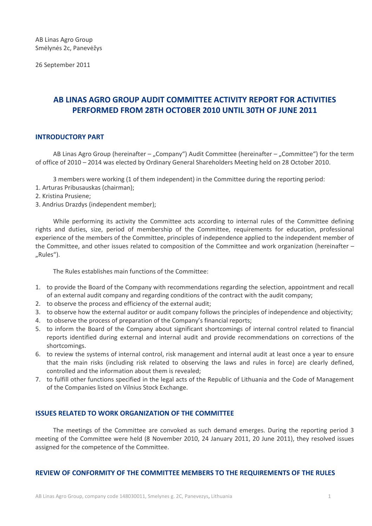26 September 2011

# **AB LINAS AGRO GROUP AUDIT COMMITTEE ACTIVITY REPORT FOR ACTIVITIES PERFORMED FROM 28TH OCTOBER 2010 UNTIL 30TH OF JUNE 2011**

## **INTRODUCTORY PART**

AB Linas Agro Group (hereinafter – "Company") Audit Committee (hereinafter – "Committee") for the term of office of 2010 – 2014 was elected by Ordinary General Shareholders Meeting held on 28 October 2010.

3 members were working (1 of them independent) in the Committee during the reporting period:

- 1. Arturas Pribusauskas (chairman);
- 2. Kristina Prusiene;
- 3. Andrius Drazdys (independent member);

While performing its activity the Committee acts according to internal rules of the Committee defining rights and duties, size, period of membership of the Committee, requirements for education, professional experience of the members of the Committee, principles of independence applied to the independent member of the Committee, and other issues related to composition of the Committee and work organization (hereinafter – "Rules").

The Rules establishes main functions of the Committee:

- 1. to provide the Board of the Company with recommendations regarding the selection, appointment and recall of an external audit company and regarding conditions of the contract with the audit company;
- 2. to observe the process and efficiency of the external audit;
- 3. to observe how the external auditor or audit company follows the principles of independence and objectivity;
- 4. to observe the process of preparation of the Company's financial reports;
- 5. to inform the Board of the Company about significant shortcomings of internal control related to financial reports identified during external and internal audit and provide recommendations on corrections of the shortcomings.
- 6. to review the systems of internal control, risk management and internal audit at least once a year to ensure that the main risks (including risk related to observing the laws and rules in force) are clearly defined, controlled and the information about them is revealed;
- 7. to fulfill other functions specified in the legal acts of the Republic of Lithuania and the Code of Management of the Companies listed on Vilnius Stock Exchange.

## **ISSUES RELATED TO WORK ORGANIZATION OF THE COMMITTEE**

The meetings of the Committee are convoked as such demand emerges. During the reporting period 3 meeting of the Committee were held (8 November 2010, 24 January 2011, 20 June 2011), they resolved issues assigned for the competence of the Committee.

## **REVIEW OF CONFORMITY OF THE COMMITTEE MEMBERS TO THE REQUIREMENTS OF THE RULES**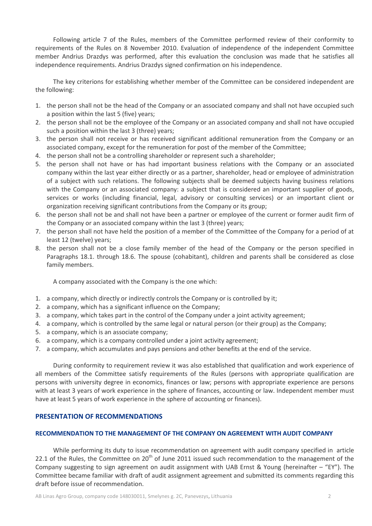Following article 7 of the Rules, members of the Committee performed review of their conformity to requirements of the Rules on 8 November 2010. Evaluation of independence of the independent Committee member Andrius Drazdys was performed, after this evaluation the conclusion was made that he satisfies all independence requirements. Andrius Drazdys signed confirmation on his independence.

The key criterions for establishing whether member of the Committee can be considered independent are the following:

- 1. the person shall not be the head of the Company or an associated company and shall not have occupied such a position within the last 5 (five) years;
- 2. the person shall not be the employee of the Company or an associated company and shall not have occupied such a position within the last 3 (three) years;
- 3. the person shall not receive or has received significant additional remuneration from the Company or an associated company, except for the remuneration for post of the member of the Committee;
- 4. the person shall not be a controlling shareholder or represent such a shareholder;
- 5. the person shall not have or has had important business relations with the Company or an associated company within the last year either directly or as a partner, shareholder, head or employee of administration of a subject with such relations. The following subjects shall be deemed subjects having business relations with the Company or an associated company: a subject that is considered an important supplier of goods, services or works (including financial, legal, advisory or consulting services) or an important client or organization receiving significant contributions from the Company or its group;
- 6. the person shall not be and shall not have been a partner or employee of the current or former audit firm of the Company or an associated company within the last 3 (three) years;
- 7. the person shall not have held the position of a member of the Committee of the Company for a period of at least 12 (twelve) years;
- 8. the person shall not be a close family member of the head of the Company or the person specified in Paragraphs 18.1. through 18.6. The spouse (cohabitant), children and parents shall be considered as close family members.

A company associated with the Company is the one which:

- 1. a company, which directly or indirectly controls the Company or is controlled by it;
- 2. a company, which has a significant influence on the Company;
- 3. a company, which takes part in the control of the Company under a joint activity agreement;
- 4. a company, which is controlled by the same legal or natural person (or their group) as the Company;
- 5. a company, which is an associate company;
- 6. a company, which is a company controlled under a joint activity agreement;
- 7. a company, which accumulates and pays pensions and other benefits at the end of the service.

During conformity to requirement review it was also established that qualification and work experience of all members of the Committee satisfy requirements of the Rules (persons with appropriate qualification are persons with university degree in economics, finances or law; persons with appropriate experience are persons with at least 3 years of work experience in the sphere of finances, accounting or law. Independent member must have at least 5 years of work experience in the sphere of accounting or finances).

## **PRESENTATION OF RECOMMENDATIONS**

#### **RECOMMENDATION TO THE MANAGEMENT OF THE COMPANY ON AGREEMENT WITH AUDIT COMPANY**

While performing its duty to issue recommendation on agreement with audit company specified in article 22.1 of the Rules, the Committee on  $20<sup>th</sup>$  of June 2011 issued such recommendation to the management of the Company suggesting to sign agreement on audit assignment with UAB Ernst & Young (hereinafter – "EY"). The Committee became familiar with draft of audit assignment agreement and submitted its comments regarding this draft before issue of recommendation.